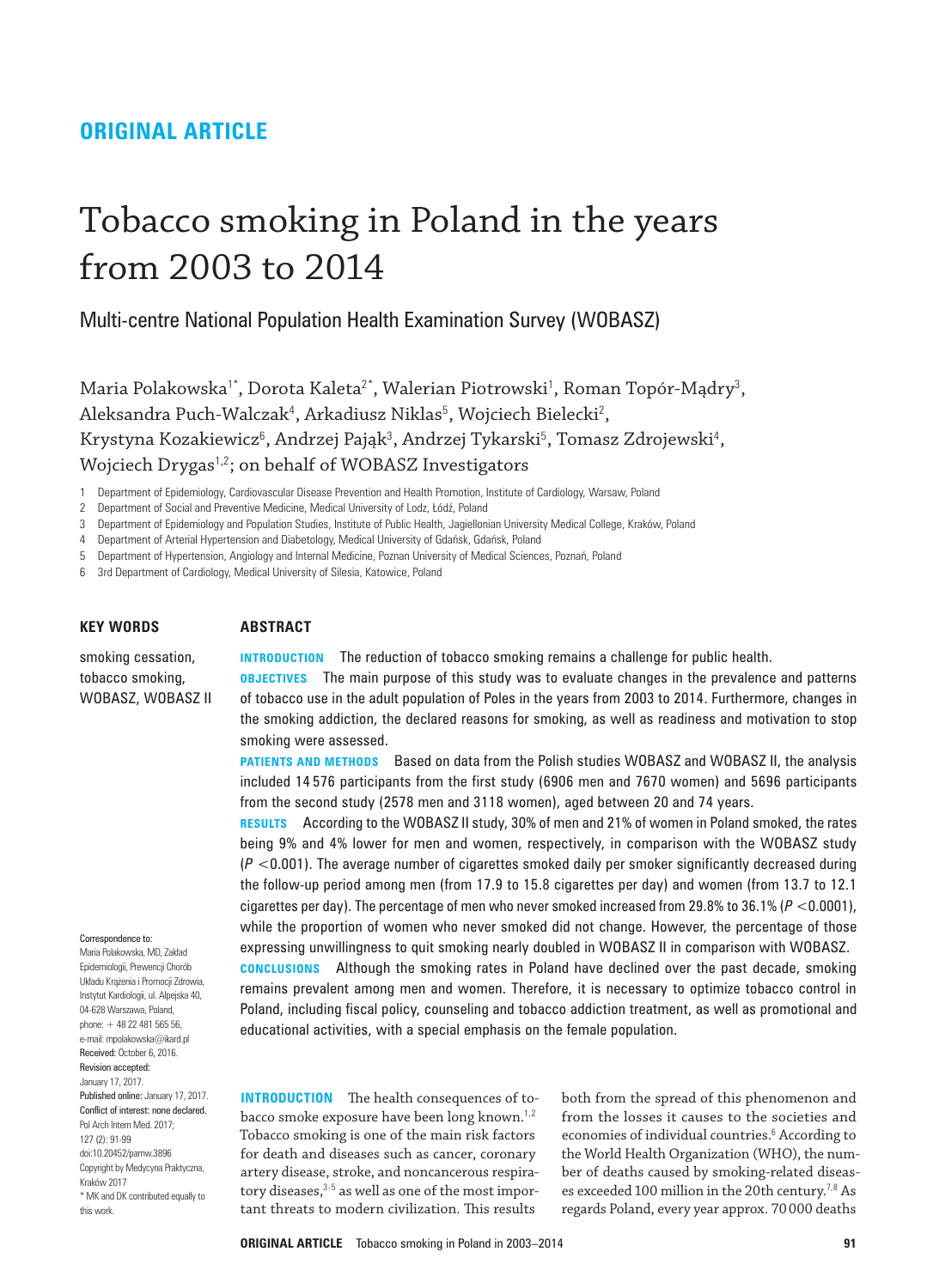## **ORIGINAL ARTICLE**

# Tobacco smoking in Poland in the years from 2003 to 2014

Multi‑centre National Population Health Examination Survey (WOBASZ)

Maria Polakowska'\*, Dorota Kaleta<sup>2\*</sup>, Walerian Piotrowski<sup>1</sup>, Roman Topór-Mądry<sup>3</sup>, Aleksandra Puch-Walczak<sup>4</sup>, Arkadiusz Niklas<sup>5</sup>, Wojciech Bielecki<sup>2</sup>, Krystyna Kozakiewicz<sup>6</sup>, Andrzej Pająk<sup>3</sup>, Andrzej Tykarski<sup>5</sup>, Tomasz Zdrojewski<sup>4</sup>, Wojciech Drygas<sup>1,2</sup>; on behalf of WOBASZ Investigators

1 Department of Epidemiology, Cardiovascular Disease Prevention and Health Promotion, Institute of Cardiology, Warsaw, Poland

3 Department of Epidemiology and Population Studies, Institute of Public Health, Jagiellonian University Medical College, Kraków, Poland

4 Department of Arterial Hypertension and Diabetology, Medical University of Gdańsk, Gdańsk, Poland

5 Department of Hypertension, Angiology and Internal Medicine, Poznan University of Medical Sciences, Poznań, Poland

6 3rd Department of Cardiology, Medical University of Silesia, Katowice, Poland

### **KEY WORDS**

### **ABSTRACT**

smoking cessation, tobacco smoking, WOBASZ, WOBASZ II **INTRODUCTION** The reduction of tobacco smoking remains a challenge for public health.

**OBJECTIVES** The main purpose of this study was to evaluate changes in the prevalence and patterns of tobacco use in the adult population of Poles in the years from 2003 to 2014. Furthermore, changes in the smoking addiction, the declared reasons for smoking, as well as readiness and motivation to stop smoking were assessed.

**PATIENTS AND METHODS** Based on data from the Polish studies WOBASZ and WOBASZ II, the analysis included 14 576 participants from the first study (6906 men and 7670 women) and 5696 participants from the second study (2578 men and 3118 women), aged between 20 and 74 years.

**RESULTS** According to the WOBASZ II study, 30% of men and 21% of women in Poland smoked, the rates being 9% and 4% lower for men and women, respectively, in comparison with the WOBASZ study (*P* <0.001). The average number of cigarettes smoked daily per smoker significantly decreased during the follow‑up period among men (from 17.9 to 15.8 cigarettes per day) and women (from 13.7 to 12.1 cigarettes per day). The percentage of men who never smoked increased from 29.8% to 36.1% (*P* <0.0001), while the proportion of women who never smoked did not change. However, the percentage of those expressing unwillingness to quit smoking nearly doubled in WOBASZ II in comparison with WOBASZ.

**CONCLUSIONS** Although the smoking rates in Poland have declined over the past decade, smoking remains prevalent among men and women. Therefore, it is necessary to optimize tobacco control in Poland, including fiscal policy, counseling and tobacco addiction treatment, as well as promotional and educational activities, with a special emphasis on the female population.

**INTRODUCTION** The health consequences of tobacco smoke exposure have been long known.1,2 Tobacco smoking is one of the main risk factors for death and diseases such as cancer, coronary artery disease, stroke, and noncancerous respiratory diseases, $3-5$  as well as one of the most important threats to modern civilization. This results

both from the spread of this phenomenon and from the losses it causes to the societies and economies of individual countries.<sup>6</sup> According to the World Health Organization (WHO), the num‑ ber of deaths caused by smoking-related diseases exceeded 100 million in the 20th century.<sup>7,8</sup> As regards Poland, every year approx. 70000 deaths

Correspondence to:

Maria Polakowska, MD, Zakład Epidemiologii, Prewencji Chorób Układu Krążenia i Promocji Zdrowia, Instytut Kardiologii, ul. Alpejska 40, 04-628 Warszawa, Poland, phone: + 48 22 481 565 56, e-mail: mpolakowska@ikard.pl Received: October 6, 2016. Revision accepted: January 17, 2017. Published online: January 17, 2017. Conflict of interest: none declared. Pol Arch Intern Med. 2017; 127 (2): 91-99 doi:10.20452/pamw.3896 Copyright by Medycyna Praktyczna, Kraków 2017 \* MK and DK contributed equally to this work.

<sup>2</sup>  Department of Social and Preventive Medicine, Medical University of Lodz, Łódź, Poland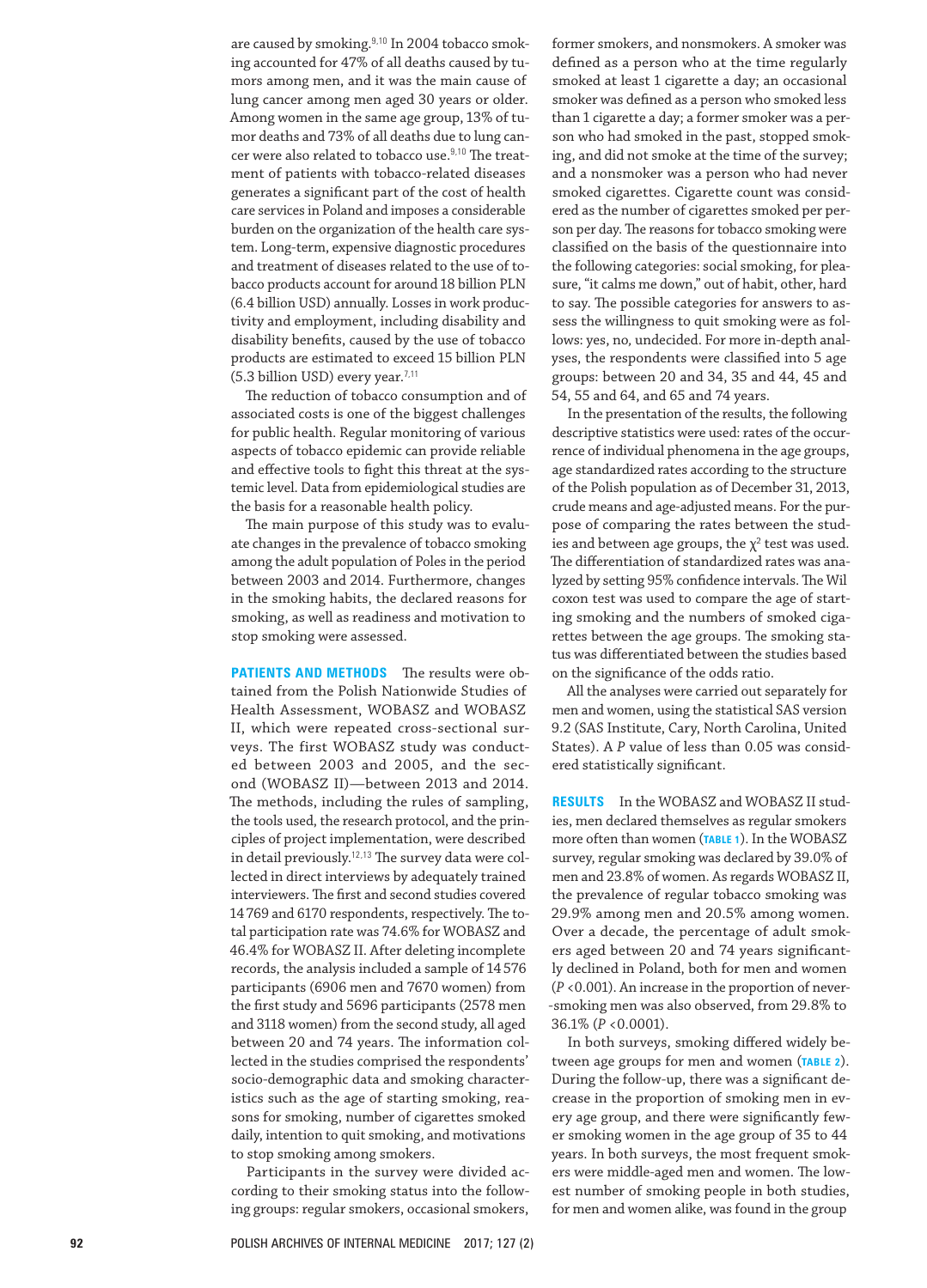are caused by smoking.<sup>9,10</sup> In 2004 tobacco smoking accounted for 47% of all deaths caused by tumors among men, and it was the main cause of lung cancer among men aged 30 years or older. Among women in the same age group, 13% of tumor deaths and 73% of all deaths due to lung cancer were also related to tobacco use.<sup>9,10</sup> The treatment of patients with tobacco-related diseases generates a significant part of the cost of health care services in Poland and imposes a considerable burden on the organization of the health care system. Long‑term, expensive diagnostic procedures and treatment of diseases related to the use of tobacco products account for around 18 billion PLN (6.4 billion USD) annually. Losses in work produc‑ tivity and employment, including disability and disability benefits, caused by the use of tobacco products are estimated to exceed 15 billion PLN (5.3 billion USD) every year. $7,11$ 

The reduction of tobacco consumption and of associated costs is one of the biggest challenges for public health. Regular monitoring of various aspects of tobacco epidemic can provide reliable and effective tools to fight this threat at the systemic level. Data from epidemiological studies are the basis for a reasonable health policy.

The main purpose of this study was to evaluate changes in the prevalence of tobacco smoking among the adult population of Poles in the period between 2003 and 2014. Furthermore, changes in the smoking habits, the declared reasons for smoking, as well as readiness and motivation to stop smoking were assessed.

**PATIENTS AND METHODS** The results were obtained from the Polish Nationwide Studies of Health Assessment, WOBASZ and WOBASZ II, which were repeated cross-sectional surveys. The first WOBASZ study was conducted between 2003 and 2005, and the second (WOBASZ II)—between 2013 and 2014. The methods, including the rules of sampling, the tools used, the research protocol, and the principles of project implementation, were described in detail previously.<sup>12,13</sup> The survey data were collected in direct interviews by adequately trained interviewers. The first and second studies covered 14769 and 6170 respondents, respectively. The total participation rate was 74.6% for WOBASZ and 46.4% for WOBASZ II. After deleting incomplete records, the analysis included a sample of 14576 participants (6906 men and 7670 women) from the first study and 5696 participants (2578 men and 3118 women) from the second study, all aged between 20 and 74 years. The information collected in the studies comprised the respondents' socio-demographic data and smoking characteristics such as the age of starting smoking, reasons for smoking, number of cigarettes smoked daily, intention to quit smoking, and motivations to stop smoking among smokers.

Participants in the survey were divided according to their smoking status into the following groups: regular smokers, occasional smokers,

former smokers, and nonsmokers. A smoker was defined as a person who at the time regularly smoked at least 1 cigarette a day; an occasional smoker was defined as a person who smoked less than 1 cigarette a day; a former smoker was a person who had smoked in the past, stopped smoking, and did not smoke at the time of the survey; and a nonsmoker was a person who had never smoked cigarettes. Cigarette count was considered as the number of cigarettes smoked per person per day. The reasons for tobacco smoking were classified on the basis of the questionnaire into the following categories: social smoking, for pleasure, "it calms me down," out of habit, other, hard to say. The possible categories for answers to assess the willingness to quit smoking were as follows: yes, no, undecided. For more in-depth analyses, the respondents were classified into 5 age groups: between 20 and 34, 35 and 44, 45 and 54, 55 and 64, and 65 and 74 years.

In the presentation of the results, the following descriptive statistics were used: rates of the occurrence of individual phenomena in the age groups, age standardized rates according to the structure of the Polish population as of December 31, 2013, crude means and age-adjusted means. For the purpose of comparing the rates between the studies and between age groups, the  $\chi^2$  test was used. The differentiation of standardized rates was analyzed by setting 95% confidence intervals. The Wil coxon test was used to compare the age of starting smoking and the numbers of smoked cigarettes between the age groups. The smoking status was differentiated between the studies based on the significance of the odds ratio.

All the analyses were carried out separately for men and women, using the statistical SAS version 9.2 (SAS Institute, Cary, North Carolina, United States). A P value of less than 0.05 was considered statistically significant.

**RESULTS** In the WOBASZ and WOBASZ II studies, men declared themselves as regular smokers more often than women (**TABLE 1**). In the WOBASZ survey, regular smoking was declared by 39.0% of men and 23.8% of women. As regards WOBASZ II, the prevalence of regular tobacco smoking was 29.9% among men and 20.5% among women. Over a decade, the percentage of adult smokers aged between 20 and 74 years significantly declined in Poland, both for men and women  $(P < 0.001)$ . An increase in the proportion of never-‑smoking men was also observed, from 29.8% to 36.1% (*P* <0.0001).

In both surveys, smoking differed widely between age groups for men and women (**TABLE 2**). During the follow-up, there was a significant decrease in the proportion of smoking men in every age group, and there were significantly fewer smoking women in the age group of 35 to 44 years. In both surveys, the most frequent smokers were middle‑aged men and women. The low‑ est number of smoking people in both studies, for men and women alike, was found in the group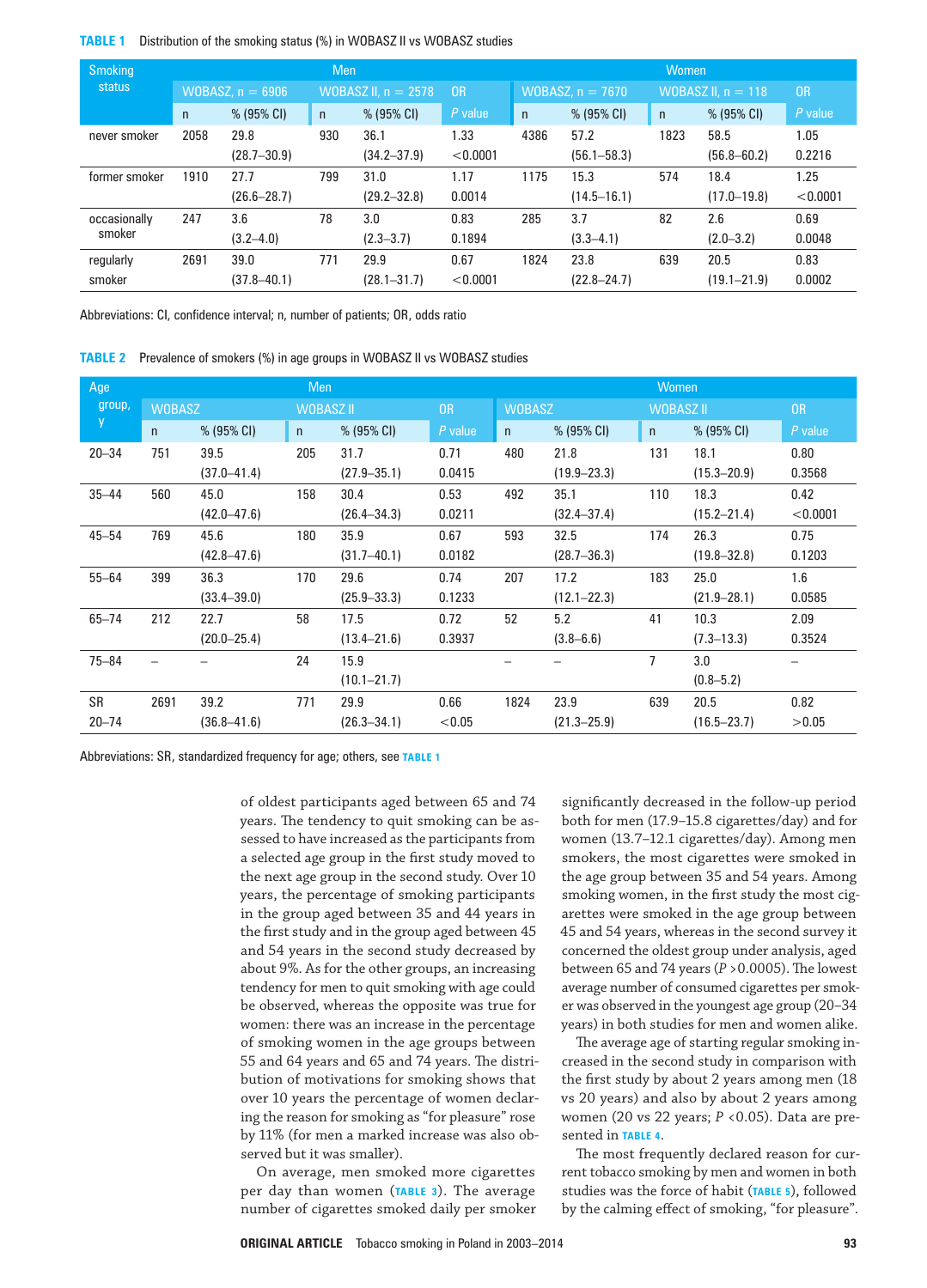### **TABLE 1** Distribution of the smoking status (%) in WOBASZ II vs WOBASZ studies

| <b>Smoking</b> |              |                    | Men                   |                 |                | Women              |                 |                      |                 |           |
|----------------|--------------|--------------------|-----------------------|-----------------|----------------|--------------------|-----------------|----------------------|-----------------|-----------|
| status         |              | WOBASZ, $n = 6906$ | WOBASZ II, $n = 2578$ |                 | 0 <sub>R</sub> | WOBASZ, $n = 7670$ |                 | WOBASZ II. $n = 118$ |                 | <b>OR</b> |
|                | $\mathsf{n}$ | $% (95\% CI)$      | $\mathsf{n}$          | $% (95\% CI)$   | $P$ value      | $\mathsf{n}$       | % (95% CI)      | $\mathsf{n}$         | $% (95\% CI)$   | $P$ value |
| never smoker   | 2058         | 29.8               | 930                   | 36.1            | 1.33           | 4386               | 57.2            | 1823                 | 58.5            | 1.05      |
|                |              | $(28.7 - 30.9)$    |                       | $(34.2 - 37.9)$ | < 0.0001       |                    | $(56.1 - 58.3)$ |                      | $(56.8 - 60.2)$ | 0.2216    |
| former smoker  | 1910         | 27.7               | 799                   | 31.0            | 1.17           | 1175               | 15.3            | 574                  | 18.4            | 1.25      |
|                |              | $(26.6 - 28.7)$    |                       | $(29.2 - 32.8)$ | 0.0014         |                    | $(14.5 - 16.1)$ |                      | $(17.0 - 19.8)$ | < 0.0001  |
| occasionally   | 247          | 3.6                | 78                    | 3.0             | 0.83           | 285                | 3.7             | 82                   | 2.6             | 0.69      |
| smoker         |              | $(3.2 - 4.0)$      |                       | $(2.3 - 3.7)$   | 0.1894         |                    | $(3.3 - 4.1)$   |                      | $(2.0 - 3.2)$   | 0.0048    |
| regularly      | 2691         | 39.0               | 771                   | 29.9            | 0.67           | 1824               | 23.8            | 639                  | 20.5            | 0.83      |
| smoker         |              | $(37.8 - 40.1)$    |                       | $(28.1 - 31.7)$ | < 0.0001       |                    | $(22.8 - 24.7)$ |                      | $(19.1 - 21.9)$ | 0.0002    |

Abbreviations: CI, confidence interval; n, number of patients; OR, odds ratio

**TABLE 2** Prevalence of smokers (%) in age groups in WOBASZ II vs WOBASZ studies

| Age       |               |                 | Men |                  |         | Women |                 |                |                  |          |  |
|-----------|---------------|-----------------|-----|------------------|---------|-------|-----------------|----------------|------------------|----------|--|
| group,    | <b>WOBASZ</b> |                 |     | <b>WOBASZ II</b> |         |       | <b>WOBASZ</b>   |                | <b>WOBASZ II</b> | OR       |  |
| y         | n             | % (95% CI)      | n   | % (95% CI)       | P value | n     | $% (95\% CI)$   | n              | % (95% CI)       | P value  |  |
| $20 - 34$ | 751           | 39.5            | 205 | 31.7             | 0.71    | 480   | 21.8            | 131            | 18.1             | 0.80     |  |
|           |               | $(37.0 - 41.4)$ |     | $(27.9 - 35.1)$  | 0.0415  |       | $(19.9 - 23.3)$ |                | $(15.3 - 20.9)$  | 0.3568   |  |
| $35 - 44$ | 560           | 45.0            | 158 | 30.4             | 0.53    | 492   | 35.1            | 110            | 18.3             | 0.42     |  |
|           |               | $(42.0 - 47.6)$ |     | $(26.4 - 34.3)$  | 0.0211  |       | $(32.4 - 37.4)$ |                | $(15.2 - 21.4)$  | < 0.0001 |  |
| $45 - 54$ | 769           | 45.6            | 180 | 35.9             | 0.67    | 593   | 32.5            | 174            | 26.3             | 0.75     |  |
|           |               | $(42.8 - 47.6)$ |     | $(31.7 - 40.1)$  | 0.0182  |       | $(28.7 - 36.3)$ |                | $(19.8 - 32.8)$  | 0.1203   |  |
| $55 - 64$ | 399           | 36.3            | 170 | 29.6             | 0.74    | 207   | 17.2            | 183            | 25.0             | 1.6      |  |
|           |               | $(33.4 - 39.0)$ |     | $(25.9 - 33.3)$  | 0.1233  |       | $(12.1 - 22.3)$ |                | $(21.9 - 28.1)$  | 0.0585   |  |
| $65 - 74$ | 212           | 22.7            | 58  | 17.5             | 0.72    | 52    | 5.2             | 41             | 10.3             | 2.09     |  |
|           |               | $(20.0 - 25.4)$ |     | $(13.4 - 21.6)$  | 0.3937  |       | $(3.8 - 6.6)$   |                | $(7.3 - 13.3)$   | 0.3524   |  |
| $75 - 84$ |               |                 | 24  | 15.9             |         |       |                 | $\overline{7}$ | 3.0              |          |  |
|           |               |                 |     | $(10.1 - 21.7)$  |         |       |                 |                | $(0.8 - 5.2)$    |          |  |
| SR        | 2691          | 39.2            | 771 | 29.9             | 0.66    | 1824  | 23.9            | 639            | 20.5             | 0.82     |  |
| $20 - 74$ |               | $(36.8 - 41.6)$ |     | $(26.3 - 34.1)$  | < 0.05  |       | $(21.3 - 25.9)$ |                | $(16.5 - 23.7)$  | >0.05    |  |

Abbreviations: SR, standardized frequency for age; others, see **TABLE 1**

of oldest participants aged between 65 and 74 years. The tendency to quit smoking can be assessed to have increased as the participants from a selected age group in the first study moved to the next age group in the second study. Over 10 years, the percentage of smoking participants in the group aged between 35 and 44 years in the first study and in the group aged between 45 and 54 years in the second study decreased by about 9%. As for the other groups, an increasing tendency for men to quit smoking with age could be observed, whereas the opposite was true for women: there was an increase in the percentage of smoking women in the age groups between 55 and 64 years and 65 and 74 years. The distribution of motivations for smoking shows that over 10 years the percentage of women declaring the reason for smoking as "for pleasure" rose by 11% (for men a marked increase was also observed but it was smaller).

On average, men smoked more cigarettes per day than women (**TABLE 3**). The average number of cigarettes smoked daily per smoker

significantly decreased in the follow‑up period both for men (17.9–15.8 cigarettes/day) and for women (13.7–12.1 cigarettes/day). Among men smokers, the most cigarettes were smoked in the age group between 35 and 54 years. Among smoking women, in the first study the most cigarettes were smoked in the age group between 45 and 54 years, whereas in the second survey it concerned the oldest group under analysis, aged between 65 and 74 years (*P* >0.0005). The lowest average number of consumed cigarettes per smoker was observed in the youngest age group (20–34 years) in both studies for men and women alike.

The average age of starting regular smoking increased in the second study in comparison with the first study by about 2 years among men (18 vs 20 years) and also by about 2 years among women (20 vs 22 years;  $P$  <0.05). Data are presented in **TABLE <sup>4</sup>**.

The most frequently declared reason for current tobacco smoking by men and women in both studies was the force of habit (**TABLE 5**), followed by the calming effect of smoking, "for pleasure".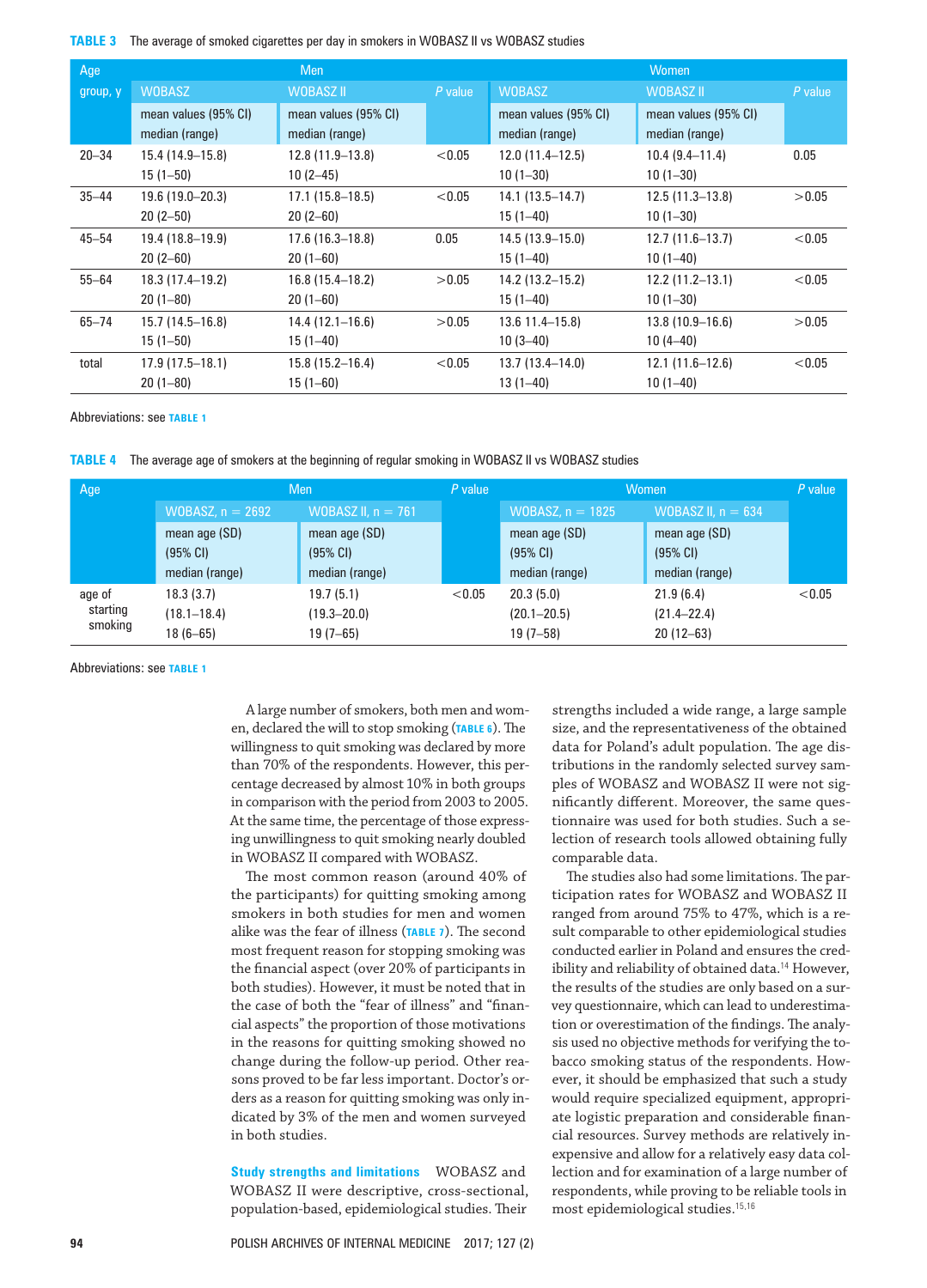**TABLE 3** The average of smoked cigarettes per day in smokers in WOBASZ II vs WOBASZ studies

| Age       |                                        | Men                                    |           |                                        | Women                                  |         |
|-----------|----------------------------------------|----------------------------------------|-----------|----------------------------------------|----------------------------------------|---------|
| group, y  | <b>WOBASZ</b>                          | WOBASZ II                              | $P$ value | <b>WOBASZ</b>                          | WOBASZ II                              | P value |
|           | mean values (95% CI)<br>median (range) | mean values (95% CI)<br>median (range) |           | mean values (95% CI)<br>median (range) | mean values (95% CI)<br>median (range) |         |
| $20 - 34$ | 15.4 (14.9–15.8)                       | $12.8(11.9-13.8)$                      | < 0.05    | $12.0(11.4-12.5)$                      | $10.4(9.4-11.4)$                       | 0.05    |
|           | $15(1 - 50)$                           | $10(2-45)$                             |           | $10(1-30)$                             | $10(1-30)$                             |         |
| $35 - 44$ | 19.6 (19.0-20.3)                       | $17.1(15.8-18.5)$                      | < 0.05    | $14.1(13.5-14.7)$                      | $12.5(11.3-13.8)$                      | >0.05   |
|           | $20(2-50)$                             | $20(2-60)$                             |           | $15(1 - 40)$                           | $10(1 - 30)$                           |         |
| $45 - 54$ | 19.4 (18.8-19.9)                       | $17.6(16.3-18.8)$                      | 0.05      | $14.5(13.9 - 15.0)$                    | $12.7(11.6-13.7)$                      | < 0.05  |
|           | $20(2-60)$                             | $20(1 - 60)$                           |           | $15(1 - 40)$                           | $10(1 - 40)$                           |         |
| $55 - 64$ | 18.3 (17.4–19.2)                       | $16.8(15.4-18.2)$                      | >0.05     | 14.2 (13.2–15.2)                       | $12.2(11.2-13.1)$                      | < 0.05  |
|           | $20(1-80)$                             | $20(1 - 60)$                           |           | $15(1 - 40)$                           | $10(1 - 30)$                           |         |
| $65 - 74$ | $15.7(14.5 - 16.8)$                    | $14.4(12.1 - 16.6)$                    | >0.05     | $13.6$ 11.4-15.8)                      | $13.8(10.9 - 16.6)$                    | >0.05   |
|           | $15(1 - 50)$                           | $15(1 - 40)$                           |           | $10(3-40)$                             | $10(4-40)$                             |         |
| total     | $17.9(17.5-18.1)$                      | $15.8(15.2 - 16.4)$                    | < 0.05    | $13.7(13.4 - 14.0)$                    | $12.1(11.6-12.6)$                      | < 0.05  |
|           | $20(1 - 80)$                           | $15(1 - 60)$                           |           | $13(1 - 40)$                           | $10(1 - 40)$                           |         |

Abbreviations: see **TABLE 1**

**TABLE 4** The average age of smokers at the beginning of regular smoking in WOBASZ II vs WOBASZ studies

| Age                 |                                | Men                  | P value | <b>Women</b>       | $P$ value            |        |
|---------------------|--------------------------------|----------------------|---------|--------------------|----------------------|--------|
|                     | WOBASZ, $n = 2692$             | WOBASZ II, $n = 761$ |         | WOBASZ, $n = 1825$ | WOBASZ II, $n = 634$ |        |
|                     | mean age (SD)                  | mean age (SD)        |         | mean age (SD)      | mean age (SD)        |        |
|                     | (95% CI)<br>$(95% \text{ CI})$ |                      |         | (95% CI)           | (95% CI)             |        |
|                     | median (range)                 | median (range)       |         | median (range)     | median (range)       |        |
| age of              | 18.3(3.7)                      | 19.7(5.1)            | < 0.05  | 20.3(5.0)          | 21.9(6.4)            | < 0.05 |
| starting<br>smoking | $(18.1 - 18.4)$                | $(19.3 - 20.0)$      |         | $(20.1 - 20.5)$    | $(21.4 - 22.4)$      |        |
|                     | $18(6 - 65)$                   | $19(7 - 65)$         |         | $19(7 - 58)$       | $20(12-63)$          |        |

Abbreviations: see **TABLE 1**

A large number of smokers, both men and women, declared the will to stop smoking (**TABLE 6**). The willingness to quit smoking was declared by more than 70% of the respondents. However, this percentage decreased by almost 10% in both groups in comparison with the period from 2003 to 2005. At the same time, the percentage of those expressing unwillingness to quit smoking nearly doubled in WOBASZ II compared with WOBASZ.

The most common reason (around 40% of the participants) for quitting smoking among smokers in both studies for men and women alike was the fear of illness (**TABLE 7**). The second most frequent reason for stopping smoking was the financial aspect (over 20% of participants in both studies). However, it must be noted that in the case of both the "fear of illness" and "financial aspects" the proportion of those motivations in the reasons for quitting smoking showed no change during the follow-up period. Other reasons proved to be far less important. Doctor's orders as a reason for quitting smoking was only indicated by 3% of the men and women surveyed in both studies.

**Study strengths and limitations** WOBASZ and WOBASZ II were descriptive, cross‑sectional, population‑based, epidemiological studies. Their

strengths included a wide range, a large sample size, and the representativeness of the obtained data for Poland's adult population. The age distributions in the randomly selected survey samples of WOBASZ and WOBASZ II were not significantly different. Moreover, the same questionnaire was used for both studies. Such a se‑ lection of research tools allowed obtaining fully comparable data.

The studies also had some limitations. The participation rates for WOBASZ and WOBASZ II ranged from around 75% to 47%, which is a re‑ sult comparable to other epidemiological studies conducted earlier in Poland and ensures the credibility and reliability of obtained data.<sup>14</sup> However, the results of the studies are only based on a survey questionnaire, which can lead to underestimation or overestimation of the findings. The analysis used no objective methods for verifying the tobacco smoking status of the respondents. However, it should be emphasized that such a study would require specialized equipment, appropriate logistic preparation and considerable financial resources. Survey methods are relatively inexpensive and allow for a relatively easy data collection and for examination of a large number of respondents, while proving to be reliable tools in most epidemiological studies.15,16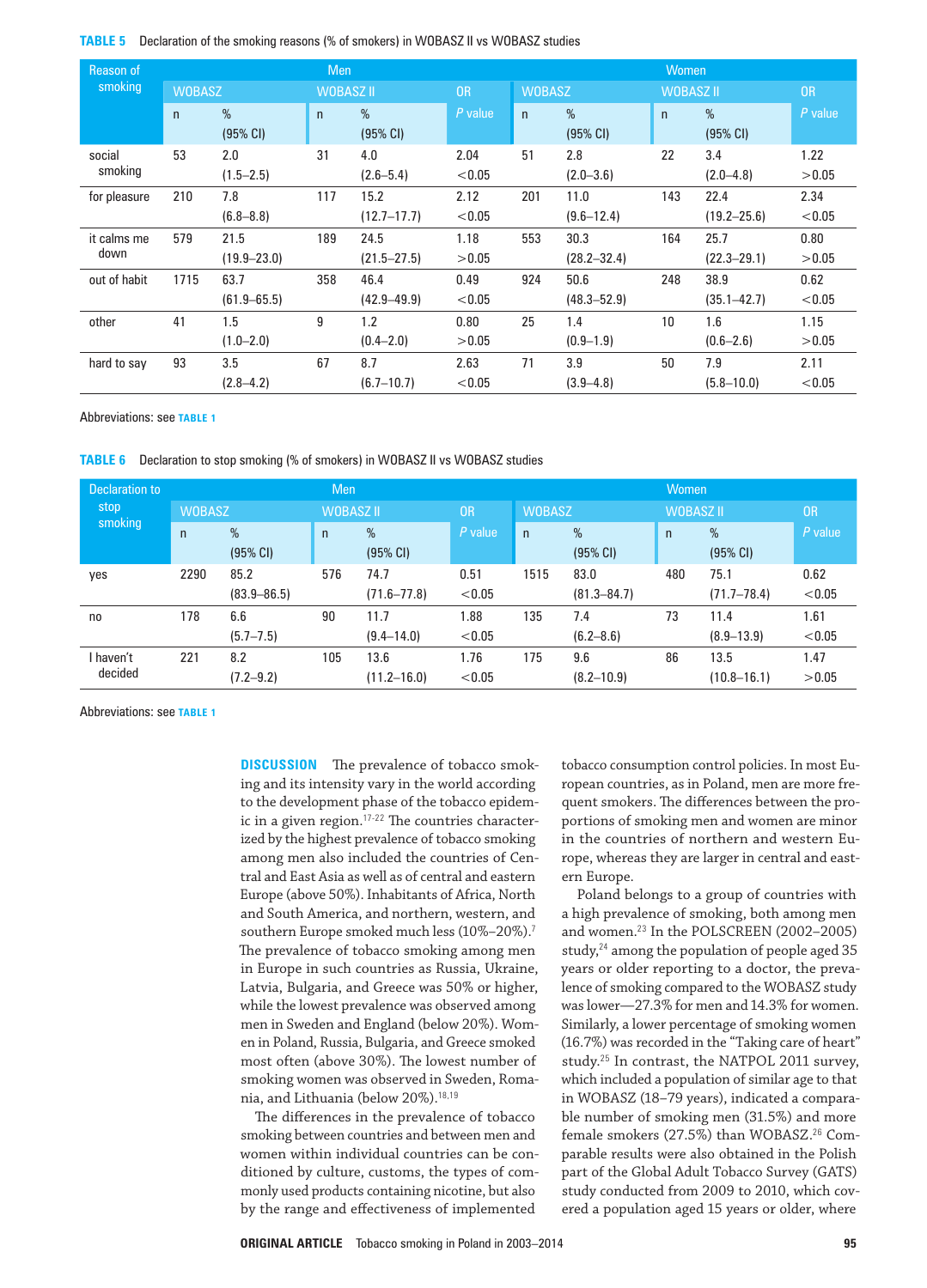**TABLE 5** Declaration of the smoking reasons (% of smokers) in WOBASZ II vs WOBASZ studies

| Reason of    |               |                 | <b>Men</b>       |                            | Women     |     |                  |     |                  |           |
|--------------|---------------|-----------------|------------------|----------------------------|-----------|-----|------------------|-----|------------------|-----------|
| smoking      | <b>WOBASZ</b> |                 | <b>WOBASZ II</b> |                            | <b>OR</b> |     | <b>WOBASZ</b>    |     | <b>WOBASZ II</b> | <b>OR</b> |
|              | $\mathsf{n}$  | %<br>(95% CI)   | $\mathsf{n}$     | $\%$<br>$(95% \text{ Cl})$ | P value   | n   | $\%$<br>(95% CI) | n   | $\%$<br>(95% CI) | P value   |
| social       | 53            | 2.0             | 31               | 4.0                        | 2.04      | 51  | 2.8              | 22  | 3.4              | 1.22      |
| smoking      |               | $(1.5 - 2.5)$   |                  | $(2.6 - 5.4)$              | < 0.05    |     | $(2.0 - 3.6)$    |     | $(2.0 - 4.8)$    | >0.05     |
| for pleasure | 210           | 7.8             | 117              | 15.2                       | 2.12      | 201 | 11.0             | 143 | 22.4             | 2.34      |
|              |               | $(6.8 - 8.8)$   |                  | $(12.7 - 17.7)$            | < 0.05    |     | $(9.6 - 12.4)$   |     | $(19.2 - 25.6)$  | < 0.05    |
| it calms me  | 579           | 21.5            | 189              | 24.5                       | 1.18      | 553 | 30.3             | 164 | 25.7             | 0.80      |
| down         |               | $(19.9 - 23.0)$ |                  | $(21.5 - 27.5)$            | >0.05     |     | $(28.2 - 32.4)$  |     | $(22.3 - 29.1)$  | >0.05     |
| out of habit | 1715          | 63.7            | 358              | 46.4                       | 0.49      | 924 | 50.6             | 248 | 38.9             | 0.62      |
|              |               | $(61.9 - 65.5)$ |                  | $(42.9 - 49.9)$            | < 0.05    |     | $(48.3 - 52.9)$  |     | $(35.1 - 42.7)$  | < 0.05    |
| other        | 41            | 1.5             | 9                | 1.2                        | 0.80      | 25  | 1.4              | 10  | 1.6              | 1.15      |
|              |               | $(1.0 - 2.0)$   |                  | $(0.4 - 2.0)$              | >0.05     |     | $(0.9 - 1.9)$    |     | $(0.6 - 2.6)$    | >0.05     |
| hard to say  | 93            | 3.5             | 67               | 8.7                        | 2.63      | 71  | 3.9              | 50  | 7.9              | 2.11      |
|              |               | $(2.8 - 4.2)$   |                  | $(6.7 - 10.7)$             | < 0.05    |     | $(3.9 - 4.8)$    |     | $(5.8 - 10.0)$   | < 0.05    |

Abbreviations: see **TABLE 1**

**TABLE 6** Declaration to stop smoking (% of smokers) in WOBASZ II vs WOBASZ studies

| <b>Declaration to</b><br>stop<br>smoking |               |                 | <b>Men</b>       |                 |           | <b>Women</b>  |                 |                  |                    |           |  |
|------------------------------------------|---------------|-----------------|------------------|-----------------|-----------|---------------|-----------------|------------------|--------------------|-----------|--|
|                                          | <b>WOBASZ</b> |                 | <b>WOBASZ II</b> |                 | <b>OR</b> | <b>WOBASZ</b> |                 | <b>WOBASZ II</b> |                    | <b>OR</b> |  |
|                                          | $\mathsf{n}$  | %               | $\mathsf{n}$     | %               | P value   | $\mathsf{n}$  | %               | $\mathsf{n}$     | %                  | P value   |  |
|                                          |               | (95% CI)        |                  | (95% CI)        |           |               | (95% CI)        |                  | $(95% \text{ CI})$ |           |  |
| yes                                      | 2290          | 85.2            | 576              | 74.7            | 0.51      | 1515          | 83.0            | 480              | 75.1               | 0.62      |  |
|                                          |               | $(83.9 - 86.5)$ |                  | $(71.6 - 77.8)$ | < 0.05    |               | $(81.3 - 84.7)$ |                  | $(71.7 - 78.4)$    | < 0.05    |  |
| no                                       | 178           | 6.6             | 90               | 11.7            | 1.88      | 135           | 7.4             | 73               | 11.4               | 1.61      |  |
|                                          |               | $(5.7 - 7.5)$   |                  | $(9.4 - 14.0)$  | < 0.05    |               | $(6.2 - 8.6)$   |                  | $(8.9 - 13.9)$     | < 0.05    |  |
| I haven't<br>decided                     | 221           | 8.2             | 105              | 13.6            | 1.76      | 175           | 9.6             | 86               | 13.5               | 1.47      |  |
|                                          |               | $(7.2 - 9.2)$   |                  | $(11.2 - 16.0)$ | < 0.05    |               | $(8.2 - 10.9)$  |                  | $(10.8 - 16.1)$    | >0.05     |  |

Abbreviations: see **TABLE 1**

**DISCUSSION** The prevalence of tobacco smoking and its intensity vary in the world according to the development phase of the tobacco epidemic in a given region. $17-22$  The countries characterized by the highest prevalence of tobacco smoking among men also included the countries of Central and East Asia as well as of central and eastern Europe (above 50%). Inhabitants of Africa, North and South America, and northern, western, and southern Europe smoked much less (10%–20%).<sup>7</sup> The prevalence of tobacco smoking among men in Europe in such countries as Russia, Ukraine, Latvia, Bulgaria, and Greece was 50% or higher, while the lowest prevalence was observed among men in Sweden and England (below 20%). Wom‑ en in Poland, Russia, Bulgaria, and Greece smoked most often (above 30%). The lowest number of smoking women was observed in Sweden, Romania, and Lithuania (below 20%).18,19

The differences in the prevalence of tobacco smoking between countries and between men and women within individual countries can be conditioned by culture, customs, the types of commonly used products containing nicotine, but also by the range and effectiveness of implemented

tobacco consumption control policies. In most European countries, as in Poland, men are more fre‑ quent smokers. The differences between the proportions of smoking men and women are minor in the countries of northern and western Europe, whereas they are larger in central and eastern Europe.

Poland belongs to a group of countries with a high prevalence of smoking, both among men and women.<sup>23</sup> In the POLSCREEN (2002–2005) study,<sup>24</sup> among the population of people aged 35 years or older reporting to a doctor, the prevalence of smoking compared to the WOBASZ study was lower—27.3% for men and 14.3% for women. Similarly, a lower percentage of smoking women (16.7%) was recorded in the "Taking care of heart" study.<sup>25</sup> In contrast, the NATPOL 2011 survey, which included a population of similar age to that in WOBASZ (18–79 years), indicated a compara‑ ble number of smoking men (31.5%) and more female smokers (27.5%) than WOBASZ.<sup>26</sup> Comparable results were also obtained in the Polish part of the Global Adult Tobacco Survey (GATS) study conducted from 2009 to 2010, which covered a population aged 15 years or older, where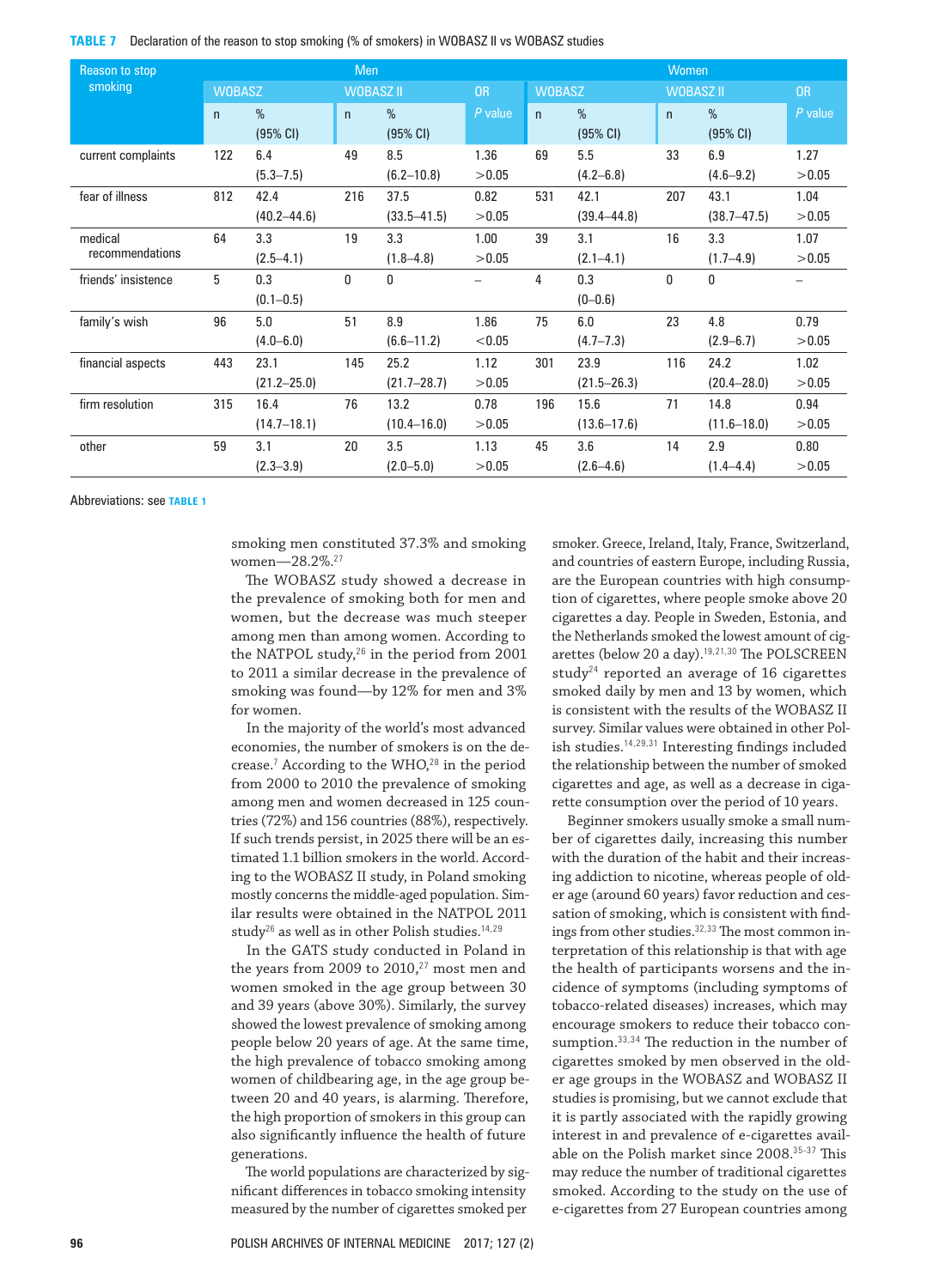**TABLE 7** Declaration of the reason to stop smoking (% of smokers) in WOBASZ II vs WOBASZ studies

| Reason to stop      | Men           |                 |              |                  |           |               | Women           |                  |                    |           |  |
|---------------------|---------------|-----------------|--------------|------------------|-----------|---------------|-----------------|------------------|--------------------|-----------|--|
| smoking             | <b>WOBASZ</b> |                 |              | <b>WOBASZ II</b> |           | <b>WOBASZ</b> |                 | <b>WOBASZ II</b> |                    | <b>OR</b> |  |
|                     | $\mathsf{n}$  | $\%$            | $\mathsf{n}$ | $\%$             | $P$ value | n             | $\%$            | $\mathsf{n}$     | $\%$               | $P$ value |  |
|                     |               | (95% CI)        |              | (95% CI)         |           |               | (95% CI)        |                  | $(95% \text{ Cl})$ |           |  |
| current complaints  | 122           | 6.4             | 49           | 8.5              | 1.36      | 69            | 5.5             | 33               | 6.9                | 1.27      |  |
|                     |               | $(5.3 - 7.5)$   |              | $(6.2 - 10.8)$   | >0.05     |               | $(4.2 - 6.8)$   |                  | $(4.6 - 9.2)$      | >0.05     |  |
| fear of illness     | 812           | 42.4            | 216          | 37.5             | 0.82      | 531           | 42.1            | 207              | 43.1               | 1.04      |  |
|                     |               | $(40.2 - 44.6)$ |              | $(33.5 - 41.5)$  | >0.05     |               | $(39.4 - 44.8)$ |                  | $(38.7 - 47.5)$    | >0.05     |  |
| medical             | 64            | 3.3             | 19           | 3.3              | 1.00      | 39            | 3.1             | 16               | 3.3                | 1.07      |  |
| recommendations     |               | $(2.5 - 4.1)$   |              | $(1.8 - 4.8)$    | >0.05     |               | $(2.1 - 4.1)$   |                  | $(1.7 - 4.9)$      | >0.05     |  |
| friends' insistence | 5             | 0.3             | $\mathbf{0}$ | $\mathbf{0}$     |           | 4             | 0.3             | 0                | $\mathbf{0}$       |           |  |
|                     |               | $(0.1 - 0.5)$   |              |                  |           |               | $(0 - 0.6)$     |                  |                    |           |  |
| family's wish       | 96            | 5.0             | 51           | 8.9              | 1.86      | 75            | 6.0             | 23               | 4.8                | 0.79      |  |
|                     |               | $(4.0 - 6.0)$   |              | $(6.6 - 11.2)$   | < 0.05    |               | $(4.7 - 7.3)$   |                  | $(2.9 - 6.7)$      | >0.05     |  |
| financial aspects   | 443           | 23.1            | 145          | 25.2             | 1.12      | 301           | 23.9            | 116              | 24.2               | 1.02      |  |
|                     |               | $(21.2 - 25.0)$ |              | $(21.7 - 28.7)$  | >0.05     |               | $(21.5 - 26.3)$ |                  | $(20.4 - 28.0)$    | >0.05     |  |
| firm resolution     | 315           | 16.4            | 76           | 13.2             | 0.78      | 196           | 15.6            | 71               | 14.8               | 0.94      |  |
|                     |               | $(14.7 - 18.1)$ |              | $(10.4 - 16.0)$  | >0.05     |               | $(13.6 - 17.6)$ |                  | $(11.6 - 18.0)$    | >0.05     |  |
| other               | 59            | 3.1             | 20           | 3.5              | 1.13      | 45            | 3.6             | 14               | 2.9                | 0.80      |  |
|                     |               | $(2.3 - 3.9)$   |              | $(2.0 - 5.0)$    | >0.05     |               | $(2.6 - 4.6)$   |                  | $(1.4 - 4.4)$      | >0.05     |  |

Abbreviations: see **TABLE 1**

smoking men constituted 37.3% and smoking women—28.2%.<sup>27</sup>

The WOBASZ study showed a decrease in the prevalence of smoking both for men and women, but the decrease was much steeper among men than among women. According to the NATPOL study,<sup>26</sup> in the period from 2001 to 2011 a similar decrease in the prevalence of smoking was found—by 12% for men and 3% for women.

In the majority of the world's most advanced economies, the number of smokers is on the decrease.<sup>7</sup> According to the WHO, $28$  in the period from 2000 to 2010 the prevalence of smoking among men and women decreased in 125 countries (72%) and 156 countries (88%), respectively. If such trends persist, in 2025 there will be an estimated 1.1 billion smokers in the world. According to the WOBASZ II study, in Poland smoking mostly concerns the middle-aged population. Similar results were obtained in the NATPOL 2011 study<sup>26</sup> as well as in other Polish studies.<sup>14,29</sup>

In the GATS study conducted in Poland in the years from 2009 to  $2010, ^{27}$  most men and women smoked in the age group between 30 and 39 years (above 30%). Similarly, the survey showed the lowest prevalence of smoking among people below 20 years of age. At the same time, the high prevalence of tobacco smoking among women of childbearing age, in the age group between 20 and 40 years, is alarming. Therefore, the high proportion of smokers in this group can also significantly influence the health of future generations.

The world populations are characterized by significant differences in tobacco smoking intensity measured by the number of cigarettes smoked per

smoker. Greece, Ireland, Italy, France, Switzerland, and countries of eastern Europe, including Russia, are the European countries with high consumption of cigarettes, where people smoke above 20 cigarettes a day. People in Sweden, Estonia, and the Netherlands smoked the lowest amount of cigarettes (below 20 a day).19,21,30 The POLSCREEN study<sup>24</sup> reported an average of  $16$  cigarettes smoked daily by men and 13 by women, which is consistent with the results of the WOBASZ II survey. Similar values were obtained in other Polish studies.14,29,31 Interesting findings included the relationship between the number of smoked cigarettes and age, as well as a decrease in cigarette consumption over the period of 10 years.

Beginner smokers usually smoke a small num‑ ber of cigarettes daily, increasing this number with the duration of the habit and their increasing addiction to nicotine, whereas people of older age (around 60 years) favor reduction and cessation of smoking, which is consistent with findings from other studies.<sup>32,33</sup> The most common interpretation of this relationship is that with age the health of participants worsens and the incidence of symptoms (including symptoms of tobacco‑related diseases) increases, which may encourage smokers to reduce their tobacco consumption.33,34 The reduction in the number of cigarettes smoked by men observed in the older age groups in the WOBASZ and WOBASZ II studies is promising, but we cannot exclude that it is partly associated with the rapidly growing interest in and prevalence of e-cigarettes available on the Polish market since 2008.35-37 This may reduce the number of traditional cigarettes smoked. According to the study on the use of e-cigarettes from 27 European countries among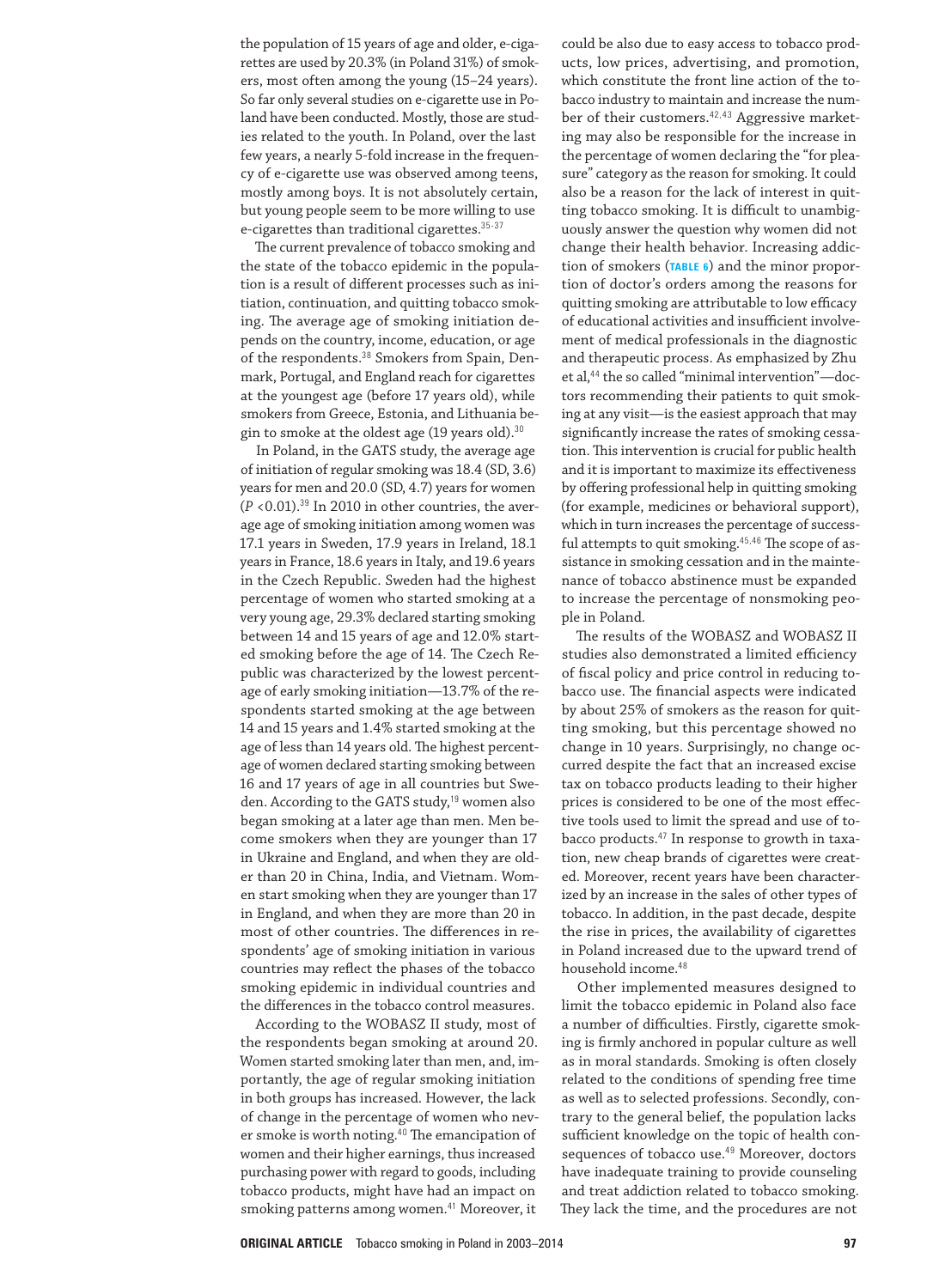the population of 15 years of age and older, e-cigarettes are used by 20.3% (in Poland 31%) of smokers, most often among the young (15–24 years). So far only several studies on e-cigarette use in Poland have been conducted. Mostly, those are studies related to the youth. In Poland, over the last few years, a nearly 5-fold increase in the frequency of e‑cigarette use was observed among teens, mostly among boys. It is not absolutely certain, but young people seem to be more willing to use e-cigarettes than traditional cigarettes.<sup>35-37</sup>

The current prevalence of tobacco smoking and the state of the tobacco epidemic in the population is a result of different processes such as initiation, continuation, and quitting tobacco smoking. The average age of smoking initiation de‑ pends on the country, income, education, or age of the respondents.<sup>38</sup> Smokers from Spain, Denmark, Portugal, and England reach for cigarettes at the youngest age (before 17 years old), while smokers from Greece, Estonia, and Lithuania begin to smoke at the oldest age (19 years old).<sup>30</sup>

In Poland, in the GATS study, the average age of initiation of regular smoking was 18.4 (SD, 3.6) years for men and 20.0 (SD, 4.7) years for women  $(P < 0.01).$ <sup>39</sup> In 2010 in other countries, the average age of smoking initiation among women was 17.1 years in Sweden, 17.9 years in Ireland, 18.1 years in France, 18.6 years in Italy, and 19.6 years in the Czech Republic. Sweden had the highest percentage of women who started smoking at a very young age, 29.3% declared starting smoking between 14 and 15 years of age and 12.0% started smoking before the age of 14. The Czech Re‑ public was characterized by the lowest percentage of early smoking initiation—13.7% of the re‑ spondents started smoking at the age between 14 and 15 years and 1.4% started smoking at the age of less than 14 years old. The highest percentage of women declared starting smoking between 16 and 17 years of age in all countries but Swe‑ den. According to the GATS study,<sup>19</sup> women also began smoking at a later age than men. Men become smokers when they are younger than 17 in Ukraine and England, and when they are older than 20 in China, India, and Vietnam. Women start smoking when they are younger than 17 in England, and when they are more than 20 in most of other countries. The differences in re‑ spondents' age of smoking initiation in various countries may reflect the phases of the tobacco smoking epidemic in individual countries and the differences in the tobacco control measures.

According to the WOBASZ II study, most of the respondents began smoking at around 20. Women started smoking later than men, and, importantly, the age of regular smoking initiation in both groups has increased. However, the lack of change in the percentage of women who never smoke is worth noting.<sup>40</sup> The emancipation of women and their higher earnings, thus increased purchasing power with regard to goods, including tobacco products, might have had an impact on smoking patterns among women.<sup>41</sup> Moreover, it

could be also due to easy access to tobacco products, low prices, advertising, and promotion, which constitute the front line action of the tobacco industry to maintain and increase the num‑ ber of their customers.<sup>42,43</sup> Aggressive marketing may also be responsible for the increase in the percentage of women declaring the "for pleasure" category as the reason for smoking. It could also be a reason for the lack of interest in quitting tobacco smoking. It is difficult to unambiguously answer the question why women did not change their health behavior. Increasing addic‑ tion of smokers (**TABLE 6**) and the minor propor‑ tion of doctor's orders among the reasons for quitting smoking are attributable to low efficacy of educational activities and insufficient involvement of medical professionals in the diagnostic and therapeutic process. As emphasized by Zhu et al,<sup>44</sup> the so called "minimal intervention"-doctors recommending their patients to quit smoking at any visit—is the easiest approach that may significantly increase the rates of smoking cessation. This intervention is crucial for public health and it is important to maximize its effectiveness by offering professional help in quitting smoking (for example, medicines or behavioral support), which in turn increases the percentage of successful attempts to quit smoking.<sup>45,46</sup> The scope of assistance in smoking cessation and in the maintenance of tobacco abstinence must be expanded to increase the percentage of nonsmoking people in Poland.

The results of the WOBASZ and WOBASZ II studies also demonstrated a limited efficiency of fiscal policy and price control in reducing tobacco use. The financial aspects were indicated by about 25% of smokers as the reason for quitting smoking, but this percentage showed no change in 10 years. Surprisingly, no change oc‑ curred despite the fact that an increased excise tax on tobacco products leading to their higher prices is considered to be one of the most effective tools used to limit the spread and use of tobacco products.<sup>47</sup> In response to growth in taxation, new cheap brands of cigarettes were created. Moreover, recent years have been characterized by an increase in the sales of other types of tobacco. In addition, in the past decade, despite the rise in prices, the availability of cigarettes in Poland increased due to the upward trend of household income.<sup>48</sup>

Other implemented measures designed to limit the tobacco epidemic in Poland also face a number of difficulties. Firstly, cigarette smoking is firmly anchored in popular culture as well as in moral standards. Smoking is often closely related to the conditions of spending free time as well as to selected professions. Secondly, contrary to the general belief, the population lacks sufficient knowledge on the topic of health consequences of tobacco use.<sup>49</sup> Moreover, doctors have inadequate training to provide counseling and treat addiction related to tobacco smoking. They lack the time, and the procedures are not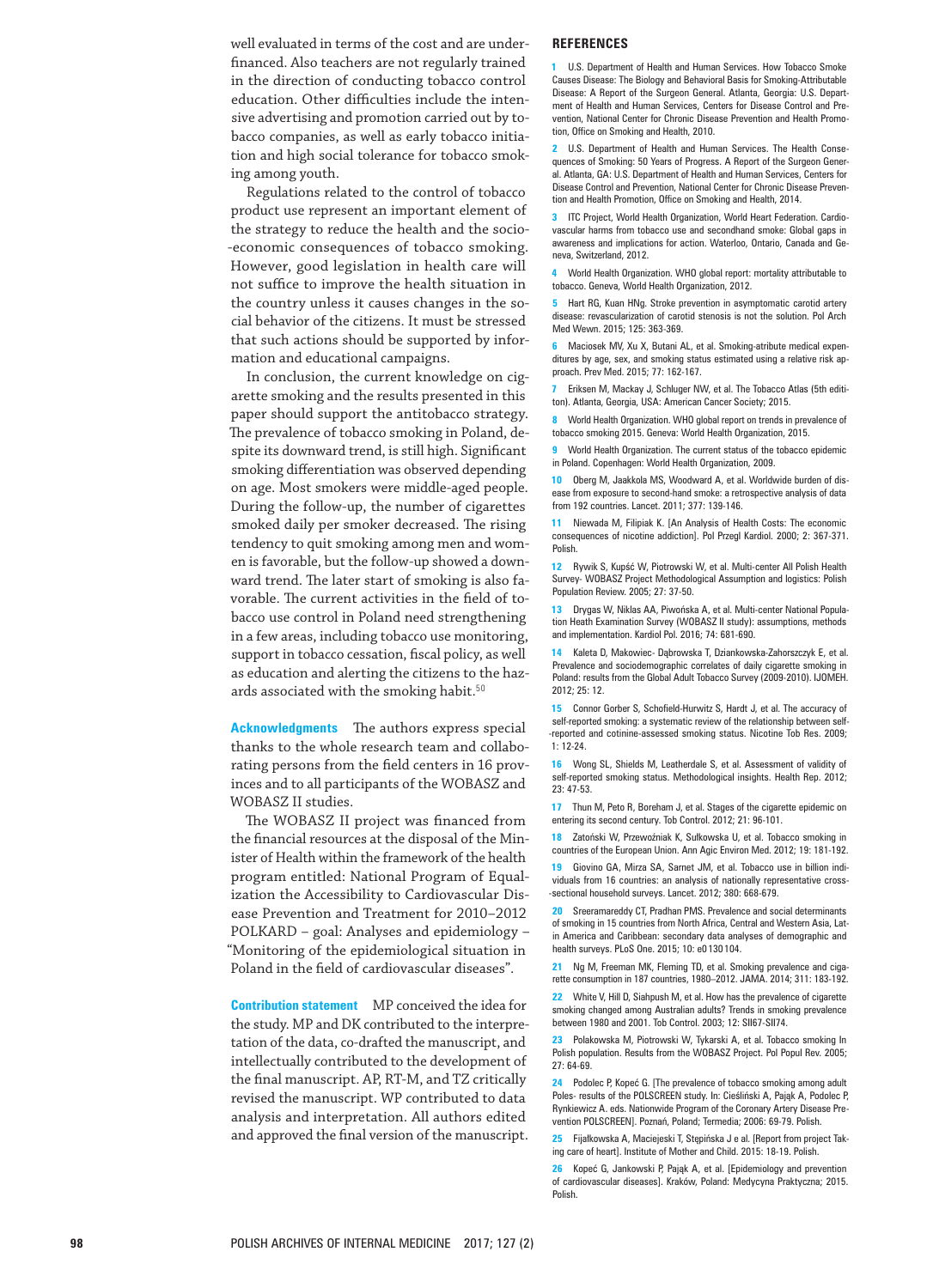well evaluated in terms of the cost and are under ‑ financed. Also teachers are not regularly trained in the direction of conducting tobacco control education. Other difficulties include the inten ‑ sive advertising and promotion carried out by to ‑ bacco companies, as well as early tobacco initia ‑ tion and high social tolerance for tobacco smok ‑ ing among youth.

Regulations related to the control of tobacco product use represent an important element of the strategy to reduce the health and the socio ‑ ‑economic consequences of tobacco smoking. However, good legislation in health care will not suffice to improve the health situation in the country unless it causes changes in the so ‑ cial behavior of the citizens. It must be stressed that such actions should be supported by infor ‑ mation and educational campaigns.

In conclusion, the current knowledge on cig ‑ arette smoking and the results presented in this paper should support the antitobacco strategy. The prevalence of tobacco smoking in Poland, de ‑ spite its downward trend, is still high. Significant smoking differentiation was observed depending on age. Most smokers were middle‑aged people. During the follow -up, the number of cigarettes smoked daily per smoker decreased. The rising tendency to quit smoking among men and wom ‑ en is favorable, but the follow -up showed a down ‑ ward trend. The later start of smoking is also fa ‑ vorable. The current activities in the field of to ‑ bacco use control in Poland need strengthening in a few areas, including tobacco use monitoring, support in tobacco cessation, fiscal policy, as well as education and alerting the citizens to the haz ‑ ards associated with the smoking habit. $50$ 

**Acknowledgments** The authors express special thanks to the whole research team and collabo ‑ rating persons from the field centers in 16 prov ‑ inces and to all participants of the WOBASZ and WOBASZ II studies.

The WOBASZ II project was financed from the financial resources at the disposal of the Min ‑ ister of Health within the framework of the health program entitled: National Program of Equal ‑ ization the Accessibility to Cardiovascular Dis ‑ ease Prevention and Treatment for 2010–2012 POLKARD – goal: Analyses and epidemiology – "Monitoring of the epidemiological situation in Poland in the field of cardiovascular diseases".

**Contribution statement** MP conceived the idea for the study. MP and DK contributed to the interpre ‑ tation of the data, co‑drafted the manuscript, and intellectually contributed to the development of the final manuscript. AP, RT‑M, and TZ critically revised the manuscript. WP contributed to data analysis and interpretation. All authors edited and approved the final version of the manuscript.

#### **REFERENCES**

**1** U.S. Department of Health and Human Services. How Tobacco Smoke Causes Disease: The Biology and Behavioral Basis for Smoking‑Attributable Disease: A Report of the Surgeon General. Atlanta, Georgia: U.S. Depart ‑ ment of Health and Human Services, Centers for Disease Control and Pre ‑ vention, National Center for Chronic Disease Prevention and Health Promo ‑ tion, Office on Smoking and Health, 2010.

2 U.S. Department of Health and Human Services. The Health Consequences of Smoking: 50 Years of Progress. A Report of the Surgeon Gener ‑ al. Atlanta, GA: U.S. Department of Health and Human Services, Centers for Disease Control and Prevention, National Center for Chronic Disease Preven ‑ tion and Health Promotion, Office on Smoking and Health, 2014.

**3** ITC Project, World Health Organization, World Heart Federation. Cardiovascular harms from tobacco use and secondhand smoke: Global gaps in awareness and implications for action. Waterloo, Ontario, Canada and Ge ‑ neva, Switzerland, 2012.

**4** World Health Organization. WHO global report: mortality attributable to tobacco. Geneva, World Health Organization, 2012.

**5** Hart RG, Kuan HNg. Stroke prevention in asymptomatic carotid artery disease: revascularization of carotid stenosis is not the solution. Pol Arch Med Wewn. 2015; 125: 363 -369.

**6** Maciosek MV, Xu X, Butani AL, et al. Smoking-atribute medical expenditures by age, sex, and smoking status estimated using a relative risk ap ‑ proach. Prev Med. 2015; 77: 162 -167.

**7** Eriksen M, Mackay J, Schluger NW, et al. The Tobacco Atlas (5th edititon). Atlanta, Georgia, USA: American Cancer Society; 2015.

**8** World Health Organization. WHO global report on trends in prevalence of tobacco smoking 2015. Geneva: World Health Organization, 2015.

**9** World Health Organization. The current status of the tobacco epidemic in Poland. Copenhagen: World Health Organization, 2009.

10 Oberg M, Jaakkola MS, Woodward A, et al. Worldwide burden of disease from exposure to second-hand smoke: a retrospective analysis of data from 192 countries. Lancet. 2011; 377: 139 -146.

**11** Niewada M, Filipiak K. [An Analysis of Health Costs: The economic consequences of nicotine addiction]. Pol Przegl Kardiol. 2000; 2: 367 -371. Polish.

**12** Rywik S, Kupść W, Piotrowski W, et al. Multi‑center All Polish Health Survey - WOBASZ Project Methodological Assumption and logistics: Polish Population Review. 2005; 27: 37 -50.

13 Drygas W, Niklas AA, Piwońska A, et al. Multi-center National Population Heath Examination Survey (WOBASZ II study): assumptions, methods and implementation. Kardiol Pol. 2016; 74: 681 -690.

**14** Kaleta D, Makowiec - Dąbrowska T, Dziankowska‑Zahorszczyk E, et al. Prevalence and sociodemographic correlates of daily cigarette smoking in Poland: results from the Global Adult Tobacco Survey (2009 -2010). IJOMEH. 2012; 25: 12.

15 Connor Gorber S, Schofield-Hurwitz S, Hardt J, et al. The accuracy of self-reported smoking: a systematic review of the relationship between self-‑reported and cotinine‑assessed smoking status. Nicotine Tob Res. 2009; 1: 12 -24.

**16** Wong SL, Shields M, Leatherdale S, et al. Assessment of validity of self-reported smoking status. Methodological insights. Health Rep. 2012; 23: 47 -53.

**17** Thun M, Peto R, Boreham J, et al. Stages of the cigarette epidemic on entering its second century. Tob Control. 2012; 21: 96-101.

**18** Zatoński W, Przewoźniak K, Sułkowska U, et al. Tobacco smoking in countries of the European Union. Ann Agic Environ Med. 2012; 19: 181 -192.

**19** Giovino GA, Mirza SA, Sarnet JM, et al. Tobacco use in billion individuals from 16 countries: an analysis of nationally representative cross ‑ ‑sectional household surveys. Lancet. 2012; 380: 668 -679.

**20** Sreeramareddy CT, Pradhan PMS. Prevalence and social determinants of smoking in 15 countries from North Africa, Central and Western Asia, Lat ‑ in America and Caribbean: secondary data analyses of demographic and health surveys. PLoS One. 2015; 10: e0 130 104.

21 Ng M, Freeman MK, Fleming TD, et al. Smoking prevalence and cigarette consumption in 187 countries, 1980–2012. JAMA. 2014; 311: 183 -192.

**22** White V, Hill D, Siahpush M, et al. How has the prevalence of cigarette smoking changed among Australian adults? Trends in smoking prevalence between 1980 and 2001. Tob Control. 2003; 12: SII67‑SII74.

**23** Polakowska M, Piotrowski W, Tykarski A, et al. Tobacco smoking In Polish population. Results from the WOBASZ Project. Pol Popul Rev. 2005; 27: 64 -69.

**24** Podolec P, Kopeć G. [The prevalence of tobacco smoking among adult Poles - results of the POLSCREEN study. In: Cieśliński A, Pająk A, Podolec P, Rynkiewicz A. eds. Nationwide Program of the Coronary Artery Disease Pre ‑ vention POLSCREEN]. Poznań, Poland; Termedia; 2006: 69 -79. Polish.

25 Fijałkowska A, Maciejeski T, Stępińska J e al. [Report from project Taking care of heart]. Institute of Mother and Child. 2015: 18 -19. Polish.

**26** Kopeć G, Jankowski P, Pająk A, et al. [Epidemiology and prevention of cardiovascular diseases]. Kraków, Poland: Medycyna Praktyczna; 2015. Polish.